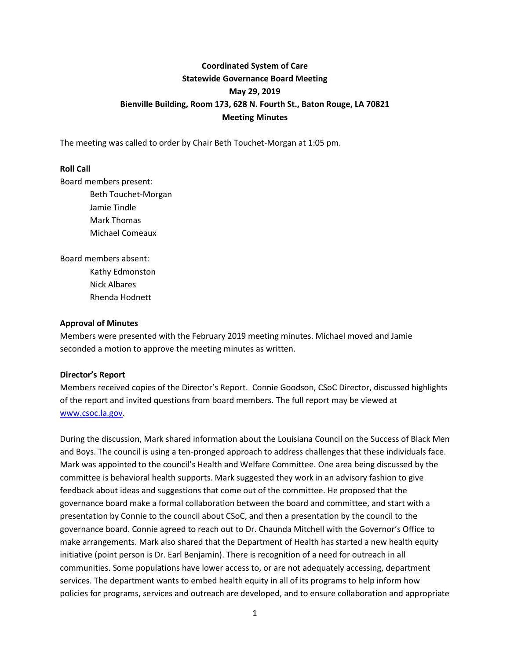# **Coordinated System of Care Statewide Governance Board Meeting May 29, 2019 Bienville Building, Room 173, 628 N. Fourth St., Baton Rouge, LA 70821 Meeting Minutes**

The meeting was called to order by Chair Beth Touchet-Morgan at 1:05 pm.

#### **Roll Call**

Board members present: Beth Touchet-Morgan

Jamie Tindle Mark Thomas Michael Comeaux

Board members absent: Kathy Edmonston Nick Albares Rhenda Hodnett

#### **Approval of Minutes**

Members were presented with the February 2019 meeting minutes. Michael moved and Jamie seconded a motion to approve the meeting minutes as written.

#### **Director's Report**

Members received copies of the Director's Report. Connie Goodson, CSoC Director, discussed highlights of the report and invited questions from board members. The full report may be viewed at [www.csoc.la.gov.](http://www.csoc.la.gov/)

During the discussion, Mark shared information about the Louisiana Council on the Success of Black Men and Boys. The council is using a ten-pronged approach to address challenges that these individuals face. Mark was appointed to the council's Health and Welfare Committee. One area being discussed by the committee is behavioral health supports. Mark suggested they work in an advisory fashion to give feedback about ideas and suggestions that come out of the committee. He proposed that the governance board make a formal collaboration between the board and committee, and start with a presentation by Connie to the council about CSoC, and then a presentation by the council to the governance board. Connie agreed to reach out to Dr. Chaunda Mitchell with the Governor's Office to make arrangements. Mark also shared that the Department of Health has started a new health equity initiative (point person is Dr. Earl Benjamin). There is recognition of a need for outreach in all communities. Some populations have lower access to, or are not adequately accessing, department services. The department wants to embed health equity in all of its programs to help inform how policies for programs, services and outreach are developed, and to ensure collaboration and appropriate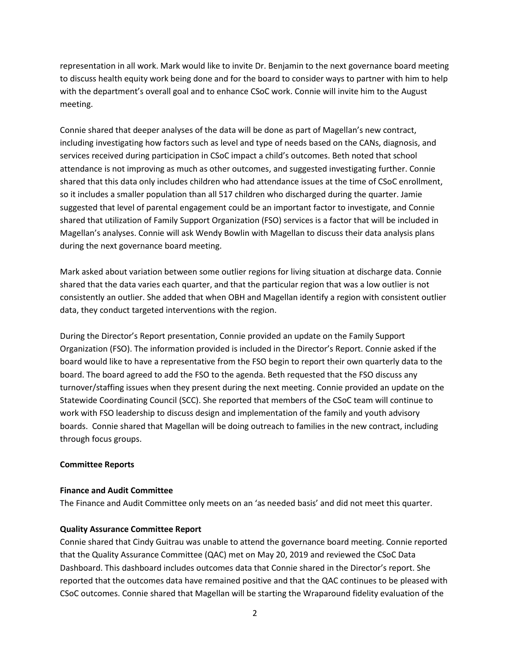representation in all work. Mark would like to invite Dr. Benjamin to the next governance board meeting to discuss health equity work being done and for the board to consider ways to partner with him to help with the department's overall goal and to enhance CSoC work. Connie will invite him to the August meeting.

Connie shared that deeper analyses of the data will be done as part of Magellan's new contract, including investigating how factors such as level and type of needs based on the CANs, diagnosis, and services received during participation in CSoC impact a child's outcomes. Beth noted that school attendance is not improving as much as other outcomes, and suggested investigating further. Connie shared that this data only includes children who had attendance issues at the time of CSoC enrollment, so it includes a smaller population than all 517 children who discharged during the quarter. Jamie suggested that level of parental engagement could be an important factor to investigate, and Connie shared that utilization of Family Support Organization (FSO) services is a factor that will be included in Magellan's analyses. Connie will ask Wendy Bowlin with Magellan to discuss their data analysis plans during the next governance board meeting.

Mark asked about variation between some outlier regions for living situation at discharge data. Connie shared that the data varies each quarter, and that the particular region that was a low outlier is not consistently an outlier. She added that when OBH and Magellan identify a region with consistent outlier data, they conduct targeted interventions with the region.

During the Director's Report presentation, Connie provided an update on the Family Support Organization (FSO). The information provided is included in the Director's Report. Connie asked if the board would like to have a representative from the FSO begin to report their own quarterly data to the board. The board agreed to add the FSO to the agenda. Beth requested that the FSO discuss any turnover/staffing issues when they present during the next meeting. Connie provided an update on the Statewide Coordinating Council (SCC). She reported that members of the CSoC team will continue to work with FSO leadership to discuss design and implementation of the family and youth advisory boards. Connie shared that Magellan will be doing outreach to families in the new contract, including through focus groups.

#### **Committee Reports**

#### **Finance and Audit Committee**

The Finance and Audit Committee only meets on an 'as needed basis' and did not meet this quarter.

## **Quality Assurance Committee Report**

Connie shared that Cindy Guitrau was unable to attend the governance board meeting. Connie reported that the Quality Assurance Committee (QAC) met on May 20, 2019 and reviewed the CSoC Data Dashboard. This dashboard includes outcomes data that Connie shared in the Director's report. She reported that the outcomes data have remained positive and that the QAC continues to be pleased with CSoC outcomes. Connie shared that Magellan will be starting the Wraparound fidelity evaluation of the